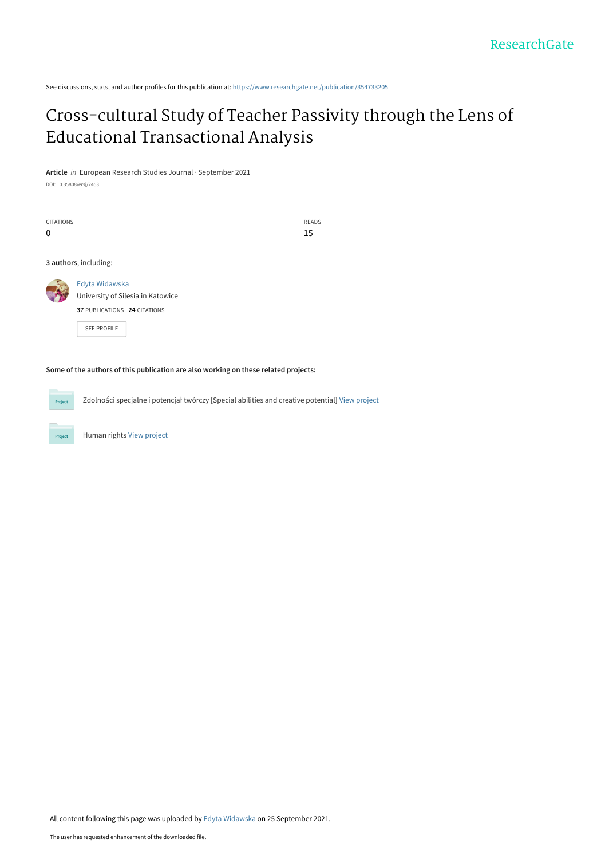See discussions, stats, and author profiles for this publication at: [https://www.researchgate.net/publication/354733205](https://www.researchgate.net/publication/354733205_Cross-cultural_Study_of_Teacher_Passivity_through_the_Lens_of_Educational_Transactional_Analysis?enrichId=rgreq-e2038b8ef86d805ecbfcb2d953cb7460-XXX&enrichSource=Y292ZXJQYWdlOzM1NDczMzIwNTtBUzoxMDcxODkwNTYzMDk2NTc3QDE2MzI1NzAwMzM5Njg%3D&el=1_x_2&_esc=publicationCoverPdf)

# [Cross-cultural Study of Teacher Passivity through the Lens of](https://www.researchgate.net/publication/354733205_Cross-cultural_Study_of_Teacher_Passivity_through_the_Lens_of_Educational_Transactional_Analysis?enrichId=rgreq-e2038b8ef86d805ecbfcb2d953cb7460-XXX&enrichSource=Y292ZXJQYWdlOzM1NDczMzIwNTtBUzoxMDcxODkwNTYzMDk2NTc3QDE2MzI1NzAwMzM5Njg%3D&el=1_x_3&_esc=publicationCoverPdf) Educational Transactional Analysis

**Article** in European Research Studies Journal · September 2021

DOI: 10.35808/ersj/2453

Human rights [View project](https://www.researchgate.net/project/Human-rights-13?enrichId=rgreq-e2038b8ef86d805ecbfcb2d953cb7460-XXX&enrichSource=Y292ZXJQYWdlOzM1NDczMzIwNTtBUzoxMDcxODkwNTYzMDk2NTc3QDE2MzI1NzAwMzM5Njg%3D&el=1_x_9&_esc=publicationCoverPdf)

All content following this page was uploaded by [Edyta Widawska](https://www.researchgate.net/profile/Edyta-Widawska?enrichId=rgreq-e2038b8ef86d805ecbfcb2d953cb7460-XXX&enrichSource=Y292ZXJQYWdlOzM1NDczMzIwNTtBUzoxMDcxODkwNTYzMDk2NTc3QDE2MzI1NzAwMzM5Njg%3D&el=1_x_10&_esc=publicationCoverPdf) on 25 September 2021.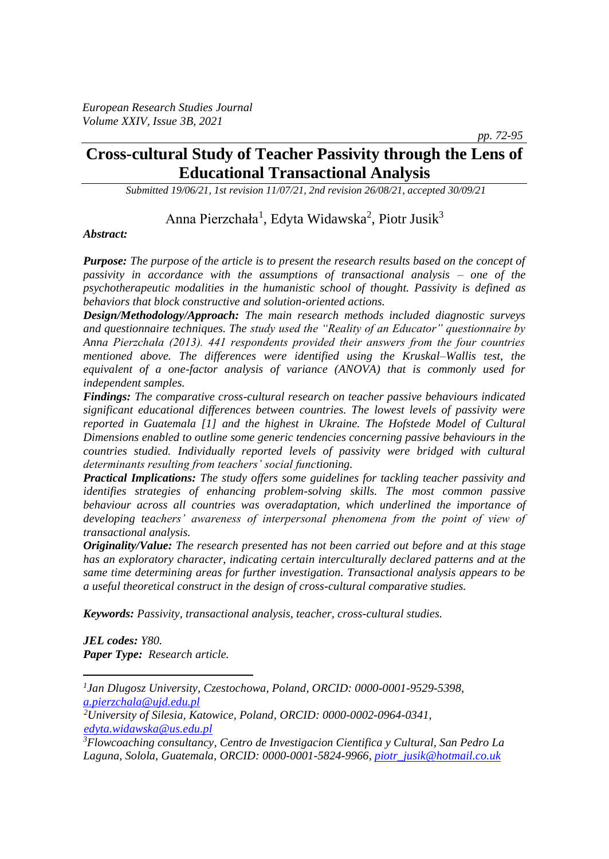# **Cross-cultural Study of Teacher Passivity through the Lens of Educational Transactional Analysis**

*Submitted 19/06/21, 1st revision 11/07/21, 2nd revision 26/08/21, accepted 30/09/21*

Anna Pierzchała<sup>1</sup>, Edyta Widawska<sup>2</sup>, Piotr Jusik<sup>3</sup>

#### *Abstract:*

*Purpose: The purpose of the article is to present the research results based on the concept of passivity in accordance with the assumptions of transactional analysis – one of the psychotherapeutic modalities in the humanistic school of thought. Passivity is defined as behaviors that block constructive and solution-oriented actions.* 

*Design/Methodology/Approach: The main research methods included diagnostic surveys and questionnaire techniques. The study used the "Reality of an Educator" questionnaire by Anna Pierzchała (2013). 441 respondents provided their answers from the four countries mentioned above. The differences were identified using the Kruskal–Wallis test, the equivalent of a one-factor analysis of variance (ANOVA) that is commonly used for independent samples.*

*Findings: The comparative cross-cultural research on teacher passive behaviours indicated significant educational differences between countries. The lowest levels of passivity were reported in Guatemala [1] and the highest in Ukraine. The Hofstede Model of Cultural Dimensions enabled to outline some generic tendencies concerning passive behaviours in the countries studied. Individually reported levels of passivity were bridged with cultural determinants resulting from teachers' social functioning.*

*Practical Implications: The study offers some guidelines for tackling teacher passivity and identifies strategies of enhancing problem-solving skills. The most common passive behaviour across all countries was overadaptation, which underlined the importance of developing teachers' awareness of interpersonal phenomena from the point of view of transactional analysis.* 

*Originality/Value: The research presented has not been carried out before and at this stage has an exploratory character, indicating certain interculturally declared patterns and at the same time determining areas for further investigation. Transactional analysis appears to be a useful theoretical construct in the design of cross-cultural comparative studies.* 

*Keywords: Passivity, transactional analysis, teacher, cross-cultural studies.*

*JEL codes: Y80. Paper Type: Research article.*

 *pp. 72-95*

*<sup>1</sup> Jan Dlugosz University, Czestochowa, Poland, ORCID: 0000-0001-9529-5398, [a.pierzchala@ujd.edu.pl](mailto:a.pierzchala@ujd.edu.pl)*

*<sup>2</sup>University of Silesia, Katowice, Poland, ORCID: 0000-0002-0964-0341, [edyta.widawska@us.edu.pl](mailto:edyta.widawska@us.edu.pl)*

*<sup>3</sup>Flowcoaching consultancy, Centro de Investigacion Cientifica y Cultural, San Pedro La Laguna, Solola, Guatemala, ORCID: 0000-0001-5824-9966[, piotr\\_jusik@hotmail.co.uk](mailto:piotr_jusik@hotmail.co.uk)*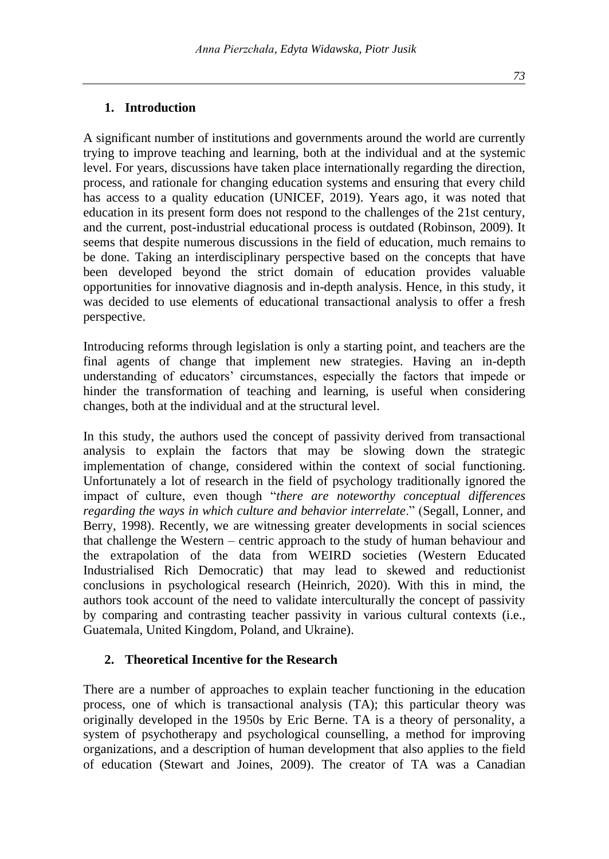#### **1. Introduction**

A significant number of institutions and governments around the world are currently trying to improve teaching and learning, both at the individual and at the systemic level. For years, discussions have taken place internationally regarding the direction, process, and rationale for changing education systems and ensuring that every child has access to a quality education (UNICEF, 2019). Years ago, it was noted that education in its present form does not respond to the challenges of the 21st century, and the current, post-industrial educational process is outdated (Robinson, 2009). It seems that despite numerous discussions in the field of education, much remains to be done. Taking an interdisciplinary perspective based on the concepts that have been developed beyond the strict domain of education provides valuable opportunities for innovative diagnosis and in-depth analysis. Hence, in this study, it was decided to use elements of educational transactional analysis to offer a fresh perspective.

Introducing reforms through legislation is only a starting point, and teachers are the final agents of change that implement new strategies. Having an in-depth understanding of educators' circumstances, especially the factors that impede or hinder the transformation of teaching and learning, is useful when considering changes, both at the individual and at the structural level.

In this study, the authors used the concept of passivity derived from transactional analysis to explain the factors that may be slowing down the strategic implementation of change, considered within the context of social functioning. Unfortunately a lot of research in the field of psychology traditionally ignored the impact of culture, even though "*there are noteworthy conceptual differences regarding the ways in which culture and behavior interrelate*." (Segall, Lonner, and Berry, 1998). Recently, we are witnessing greater developments in social sciences that challenge the Western – centric approach to the study of human behaviour and the extrapolation of the data from WEIRD societies (Western Educated Industrialised Rich Democratic) that may lead to skewed and reductionist conclusions in psychological research (Heinrich, 2020). With this in mind, the authors took account of the need to validate interculturally the concept of passivity by comparing and contrasting teacher passivity in various cultural contexts (i.e., Guatemala, United Kingdom, Poland, and Ukraine).

# **2. Theoretical Incentive for the Research**

There are a number of approaches to explain teacher functioning in the education process, one of which is transactional analysis (TA); this particular theory was originally developed in the 1950s by Eric Berne. TA is a theory of personality, a system of psychotherapy and psychological counselling, a method for improving organizations, and a description of human development that also applies to the field of education (Stewart and Joines, 2009). The creator of TA was a Canadian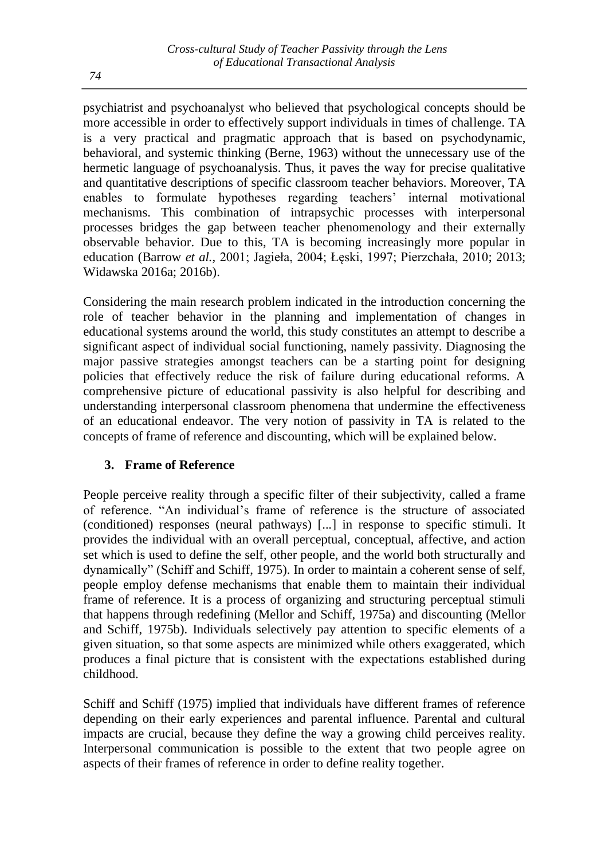psychiatrist and psychoanalyst who believed that psychological concepts should be more accessible in order to effectively support individuals in times of challenge. TA is a very practical and pragmatic approach that is based on psychodynamic, behavioral, and systemic thinking (Berne, 1963) without the unnecessary use of the hermetic language of psychoanalysis. Thus, it paves the way for precise qualitative and quantitative descriptions of specific classroom teacher behaviors. Moreover, TA enables to formulate hypotheses regarding teachers' internal motivational mechanisms. This combination of intrapsychic processes with interpersonal processes bridges the gap between teacher phenomenology and their externally observable behavior. Due to this, TA is becoming increasingly more popular in education (Barrow *et al.,* 2001; Jagieła, 2004; Łęski, 1997; Pierzchała, 2010; 2013; Widawska 2016a; 2016b).

Considering the main research problem indicated in the introduction concerning the role of teacher behavior in the planning and implementation of changes in educational systems around the world, this study constitutes an attempt to describe a significant aspect of individual social functioning, namely passivity. Diagnosing the major passive strategies amongst teachers can be a starting point for designing policies that effectively reduce the risk of failure during educational reforms. A comprehensive picture of educational passivity is also helpful for describing and understanding interpersonal classroom phenomena that undermine the effectiveness of an educational endeavor. The very notion of passivity in TA is related to the concepts of frame of reference and discounting, which will be explained below.

# **3. Frame of Reference**

People perceive reality through a specific filter of their subjectivity, called a frame of reference. "An individual's frame of reference is the structure of associated (conditioned) responses (neural pathways) [...] in response to specific stimuli. It provides the individual with an overall perceptual, conceptual, affective, and action set which is used to define the self, other people, and the world both structurally and dynamically" (Schiff and Schiff, 1975). In order to maintain a coherent sense of self, people employ defense mechanisms that enable them to maintain their individual frame of reference. It is a process of organizing and structuring perceptual stimuli that happens through redefining (Mellor and Schiff, 1975a) and discounting (Mellor and Schiff, 1975b). Individuals selectively pay attention to specific elements of a given situation, so that some aspects are minimized while others exaggerated, which produces a final picture that is consistent with the expectations established during childhood.

Schiff and Schiff (1975) implied that individuals have different frames of reference depending on their early experiences and parental influence. Parental and cultural impacts are crucial, because they define the way a growing child perceives reality. Interpersonal communication is possible to the extent that two people agree on aspects of their frames of reference in order to define reality together.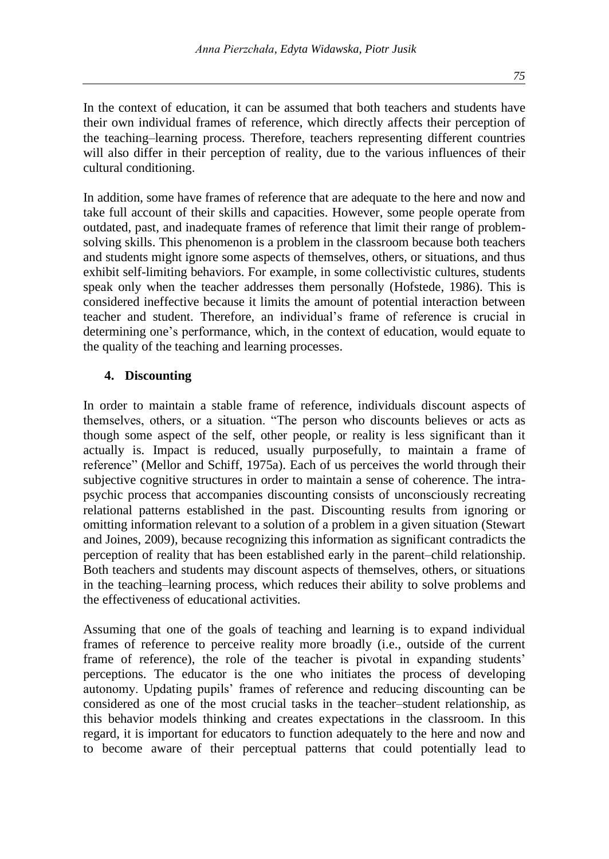In the context of education, it can be assumed that both teachers and students have their own individual frames of reference, which directly affects their perception of the teaching–learning process. Therefore, teachers representing different countries will also differ in their perception of reality, due to the various influences of their cultural conditioning.

In addition, some have frames of reference that are adequate to the here and now and take full account of their skills and capacities. However, some people operate from outdated, past, and inadequate frames of reference that limit their range of problemsolving skills. This phenomenon is a problem in the classroom because both teachers and students might ignore some aspects of themselves, others, or situations, and thus exhibit self-limiting behaviors. For example, in some collectivistic cultures, students speak only when the teacher addresses them personally (Hofstede, 1986). This is considered ineffective because it limits the amount of potential interaction between teacher and student. Therefore, an individual's frame of reference is crucial in determining one's performance, which, in the context of education, would equate to the quality of the teaching and learning processes.

#### **4. Discounting**

In order to maintain a stable frame of reference, individuals discount aspects of themselves, others, or a situation. "The person who discounts believes or acts as though some aspect of the self, other people, or reality is less significant than it actually is. Impact is reduced, usually purposefully, to maintain a frame of reference" (Mellor and Schiff, 1975a). Each of us perceives the world through their subjective cognitive structures in order to maintain a sense of coherence. The intrapsychic process that accompanies discounting consists of unconsciously recreating relational patterns established in the past. Discounting results from ignoring or omitting information relevant to a solution of a problem in a given situation (Stewart and Joines, 2009), because recognizing this information as significant contradicts the perception of reality that has been established early in the parent–child relationship. Both teachers and students may discount aspects of themselves, others, or situations in the teaching–learning process, which reduces their ability to solve problems and the effectiveness of educational activities.

Assuming that one of the goals of teaching and learning is to expand individual frames of reference to perceive reality more broadly (i.e., outside of the current frame of reference), the role of the teacher is pivotal in expanding students' perceptions. The educator is the one who initiates the process of developing autonomy. Updating pupils' frames of reference and reducing discounting can be considered as one of the most crucial tasks in the teacher–student relationship, as this behavior models thinking and creates expectations in the classroom. In this regard, it is important for educators to function adequately to the here and now and to become aware of their perceptual patterns that could potentially lead to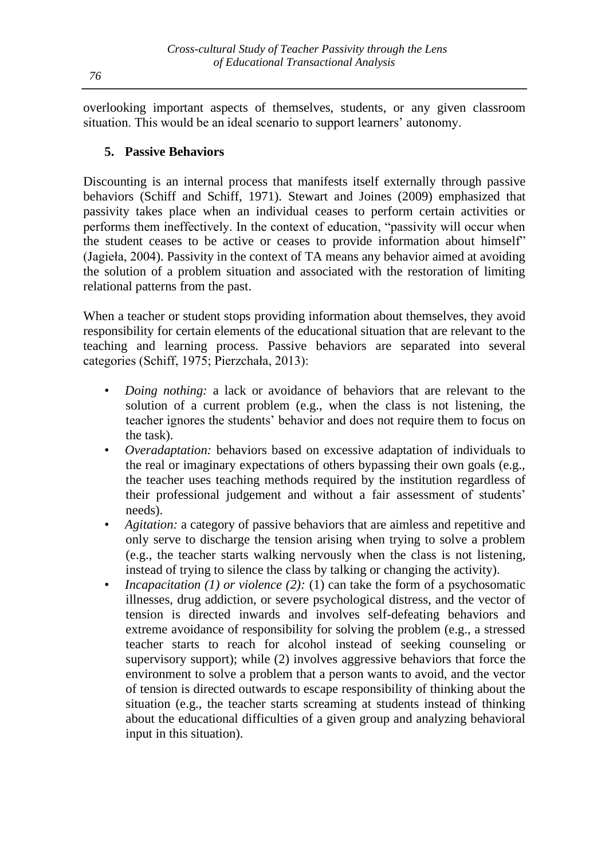overlooking important aspects of themselves, students, or any given classroom situation. This would be an ideal scenario to support learners' autonomy.

# **5. Passive Behaviors**

Discounting is an internal process that manifests itself externally through passive behaviors (Schiff and Schiff, 1971). Stewart and Joines (2009) emphasized that passivity takes place when an individual ceases to perform certain activities or performs them ineffectively. In the context of education, "passivity will occur when the student ceases to be active or ceases to provide information about himself" (Jagieła, 2004). Passivity in the context of TA means any behavior aimed at avoiding the solution of a problem situation and associated with the restoration of limiting relational patterns from the past.

When a teacher or student stops providing information about themselves, they avoid responsibility for certain elements of the educational situation that are relevant to the teaching and learning process. Passive behaviors are separated into several categories (Schiff, 1975; Pierzchała, 2013):

- *Doing nothing:* a lack or avoidance of behaviors that are relevant to the solution of a current problem (e.g., when the class is not listening, the teacher ignores the students' behavior and does not require them to focus on the task).
- *Overadaptation:* behaviors based on excessive adaptation of individuals to the real or imaginary expectations of others bypassing their own goals (e.g., the teacher uses teaching methods required by the institution regardless of their professional judgement and without a fair assessment of students' needs).
- *Agitation:* a category of passive behaviors that are aimless and repetitive and only serve to discharge the tension arising when trying to solve a problem (e.g., the teacher starts walking nervously when the class is not listening, instead of trying to silence the class by talking or changing the activity).
- *Incapacitation (1) or violence (2): (1) can take the form of a psychosomatic* illnesses, drug addiction, or severe psychological distress, and the vector of tension is directed inwards and involves self-defeating behaviors and extreme avoidance of responsibility for solving the problem (e.g., a stressed teacher starts to reach for alcohol instead of seeking counseling or supervisory support); while (2) involves aggressive behaviors that force the environment to solve a problem that a person wants to avoid, and the vector of tension is directed outwards to escape responsibility of thinking about the situation (e.g., the teacher starts screaming at students instead of thinking about the educational difficulties of a given group and analyzing behavioral input in this situation).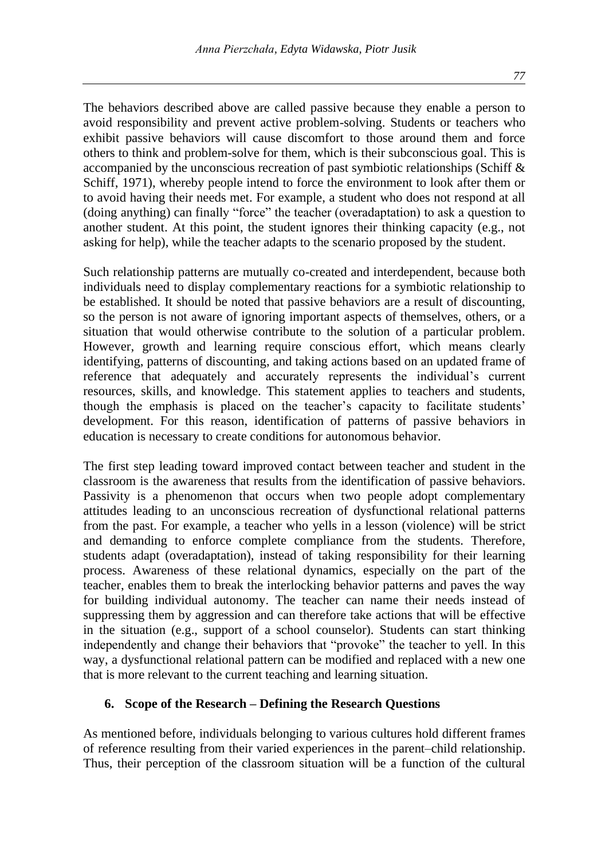The behaviors described above are called passive because they enable a person to avoid responsibility and prevent active problem-solving. Students or teachers who exhibit passive behaviors will cause discomfort to those around them and force others to think and problem-solve for them, which is their subconscious goal. This is accompanied by the unconscious recreation of past symbiotic relationships (Schiff  $\&$ Schiff, 1971), whereby people intend to force the environment to look after them or to avoid having their needs met. For example, a student who does not respond at all (doing anything) can finally "force" the teacher (overadaptation) to ask a question to another student. At this point, the student ignores their thinking capacity (e.g., not asking for help), while the teacher adapts to the scenario proposed by the student.

Such relationship patterns are mutually co-created and interdependent, because both individuals need to display complementary reactions for a symbiotic relationship to be established. It should be noted that passive behaviors are a result of discounting, so the person is not aware of ignoring important aspects of themselves, others, or a situation that would otherwise contribute to the solution of a particular problem. However, growth and learning require conscious effort, which means clearly identifying, patterns of discounting, and taking actions based on an updated frame of reference that adequately and accurately represents the individual's current resources, skills, and knowledge. This statement applies to teachers and students, though the emphasis is placed on the teacher's capacity to facilitate students' development. For this reason, identification of patterns of passive behaviors in education is necessary to create conditions for autonomous behavior.

The first step leading toward improved contact between teacher and student in the classroom is the awareness that results from the identification of passive behaviors. Passivity is a phenomenon that occurs when two people adopt complementary attitudes leading to an unconscious recreation of dysfunctional relational patterns from the past. For example, a teacher who yells in a lesson (violence) will be strict and demanding to enforce complete compliance from the students. Therefore, students adapt (overadaptation), instead of taking responsibility for their learning process. Awareness of these relational dynamics, especially on the part of the teacher, enables them to break the interlocking behavior patterns and paves the way for building individual autonomy. The teacher can name their needs instead of suppressing them by aggression and can therefore take actions that will be effective in the situation (e.g., support of a school counselor). Students can start thinking independently and change their behaviors that "provoke" the teacher to yell. In this way, a dysfunctional relational pattern can be modified and replaced with a new one that is more relevant to the current teaching and learning situation.

# **6. Scope of the Research – Defining the Research Questions**

As mentioned before, individuals belonging to various cultures hold different frames of reference resulting from their varied experiences in the parent–child relationship. Thus, their perception of the classroom situation will be a function of the cultural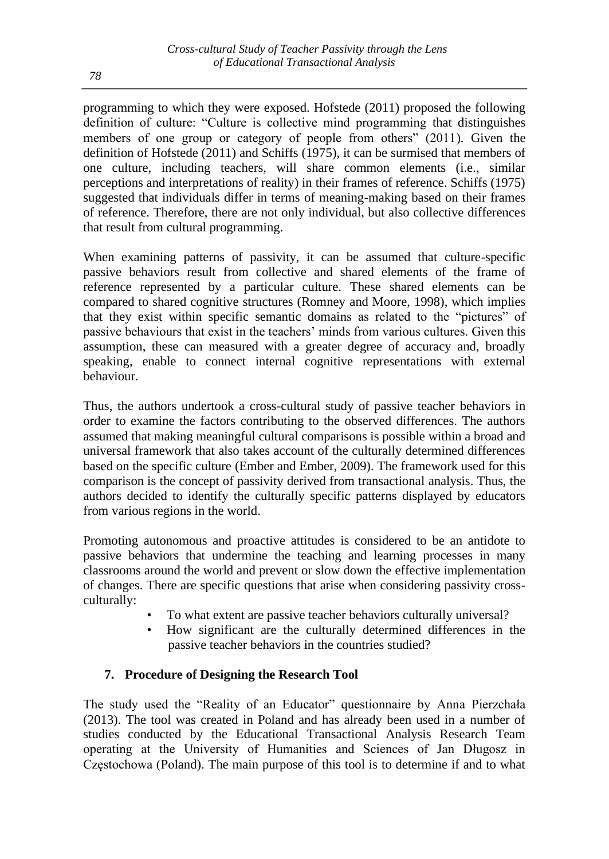programming to which they were exposed. Hofstede (2011) proposed the following definition of culture: "Culture is collective mind programming that distinguishes members of one group or category of people from others" (2011). Given the definition of Hofstede (2011) and Schiffs (1975), it can be surmised that members of one culture, including teachers, will share common elements (i.e., similar perceptions and interpretations of reality) in their frames of reference. Schiffs (1975) suggested that individuals differ in terms of meaning-making based on their frames of reference. Therefore, there are not only individual, but also collective differences that result from cultural programming.

When examining patterns of passivity, it can be assumed that culture-specific passive behaviors result from collective and shared elements of the frame of reference represented by a particular culture. These shared elements can be compared to shared cognitive structures (Romney and Moore, 1998), which implies that they exist within specific semantic domains as related to the "pictures" of passive behaviours that exist in the teachers' minds from various cultures. Given this assumption, these can measured with a greater degree of accuracy and, broadly speaking, enable to connect internal cognitive representations with external behaviour.

Thus, the authors undertook a cross-cultural study of passive teacher behaviors in order to examine the factors contributing to the observed differences. The authors assumed that making meaningful cultural comparisons is possible within a broad and universal framework that also takes account of the culturally determined differences based on the specific culture (Ember and Ember, 2009). The framework used for this comparison is the concept of passivity derived from transactional analysis. Thus, the authors decided to identify the culturally specific patterns displayed by educators from various regions in the world.

Promoting autonomous and proactive attitudes is considered to be an antidote to passive behaviors that undermine the teaching and learning processes in many classrooms around the world and prevent or slow down the effective implementation of changes. There are specific questions that arise when considering passivity crossculturally:

- To what extent are passive teacher behaviors culturally universal?
- How significant are the culturally determined differences in the passive teacher behaviors in the countries studied?

# **7. Procedure of Designing the Research Tool**

The study used the "Reality of an Educator" questionnaire by Anna Pierzchała (2013). The tool was created in Poland and has already been used in a number of studies conducted by the Educational Transactional Analysis Research Team operating at the University of Humanities and Sciences of Jan Długosz in Częstochowa (Poland). The main purpose of this tool is to determine if and to what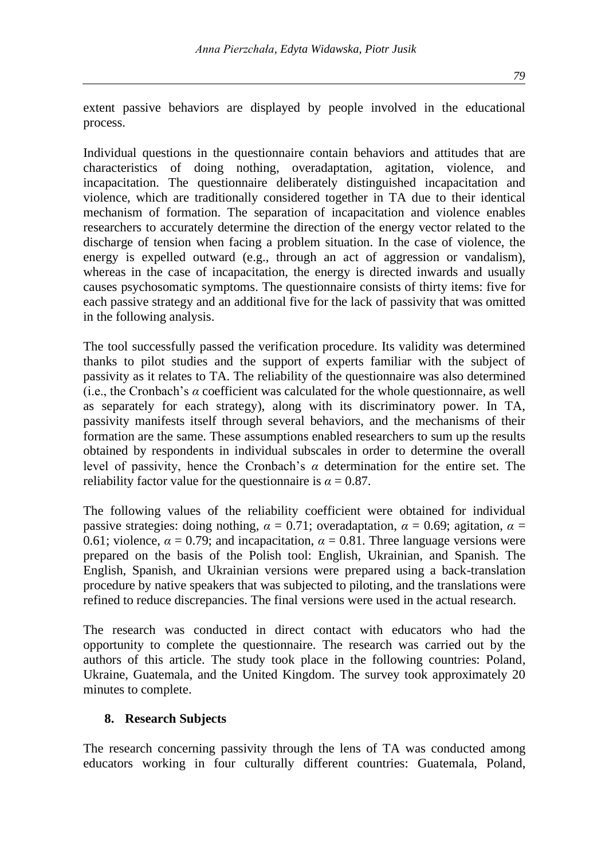extent passive behaviors are displayed by people involved in the educational process.

Individual questions in the questionnaire contain behaviors and attitudes that are characteristics of doing nothing, overadaptation, agitation, violence, and incapacitation. The questionnaire deliberately distinguished incapacitation and violence, which are traditionally considered together in TA due to their identical mechanism of formation. The separation of incapacitation and violence enables researchers to accurately determine the direction of the energy vector related to the discharge of tension when facing a problem situation. In the case of violence, the energy is expelled outward (e.g., through an act of aggression or vandalism), whereas in the case of incapacitation, the energy is directed inwards and usually causes psychosomatic symptoms. The questionnaire consists of thirty items: five for each passive strategy and an additional five for the lack of passivity that was omitted in the following analysis.

The tool successfully passed the verification procedure. Its validity was determined thanks to pilot studies and the support of experts familiar with the subject of passivity as it relates to TA. The reliability of the questionnaire was also determined (i.e., the Cronbach's *α* coefficient was calculated for the whole questionnaire, as well as separately for each strategy), along with its discriminatory power. In TA, passivity manifests itself through several behaviors, and the mechanisms of their formation are the same. These assumptions enabled researchers to sum up the results obtained by respondents in individual subscales in order to determine the overall level of passivity, hence the Cronbach's *α* determination for the entire set. The reliability factor value for the questionnaire is  $\alpha = 0.87$ .

The following values of the reliability coefficient were obtained for individual passive strategies: doing nothing,  $\alpha = 0.71$ ; overadaptation,  $\alpha = 0.69$ ; agitation,  $\alpha =$ 0.61; violence,  $\alpha = 0.79$ ; and incapacitation,  $\alpha = 0.81$ . Three language versions were prepared on the basis of the Polish tool: English, Ukrainian, and Spanish. The English, Spanish, and Ukrainian versions were prepared using a back-translation procedure by native speakers that was subjected to piloting, and the translations were refined to reduce discrepancies. The final versions were used in the actual research.

The research was conducted in direct contact with educators who had the opportunity to complete the questionnaire. The research was carried out by the authors of this article. The study took place in the following countries: Poland, Ukraine, Guatemala, and the United Kingdom. The survey took approximately 20 minutes to complete.

# **8. Research Subjects**

The research concerning passivity through the lens of TA was conducted among educators working in four culturally different countries: Guatemala, Poland,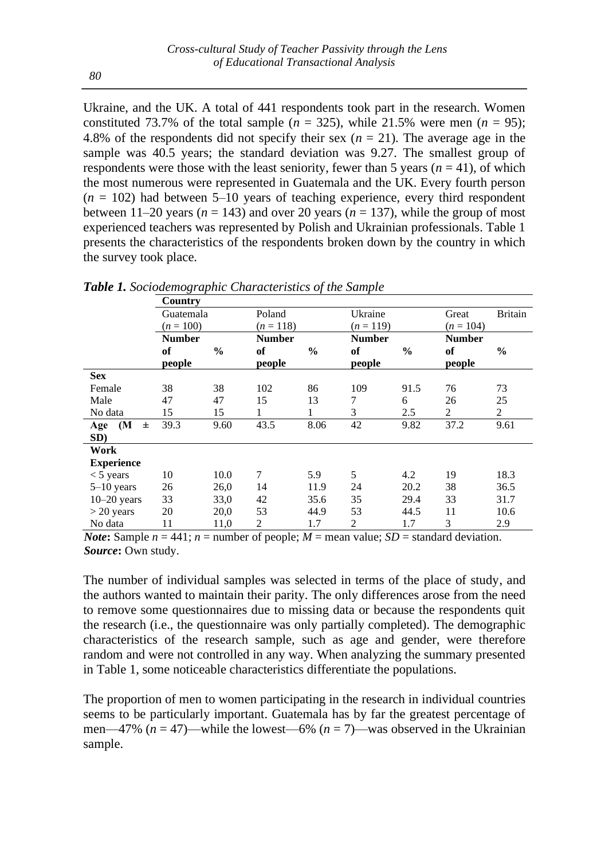Ukraine, and the UK. A total of 441 respondents took part in the research. Women constituted 73.7% of the total sample  $(n = 325)$ , while 21.5% were men  $(n = 95)$ ; 4.8% of the respondents did not specify their sex  $(n = 21)$ . The average age in the sample was 40.5 years; the standard deviation was 9.27. The smallest group of respondents were those with the least seniority, fewer than 5 years  $(n = 41)$ , of which the most numerous were represented in Guatemala and the UK. Every fourth person  $(n = 102)$  had between 5–10 years of teaching experience, every third respondent between  $11-20$  years ( $n = 143$ ) and over 20 years ( $n = 137$ ), while the group of most experienced teachers was represented by Polish and Ukrainian professionals. Table 1 presents the characteristics of the respondents broken down by the country in which the survey took place.

|                   | Country       |               |               |               |               |               |               |                |
|-------------------|---------------|---------------|---------------|---------------|---------------|---------------|---------------|----------------|
|                   | Guatemala     |               | Poland        |               | Ukraine       |               | Great         | <b>Britain</b> |
|                   | $(n = 100)$   |               | $(n = 118)$   |               | $(n=119)$     |               | $(n = 104)$   |                |
|                   | <b>Number</b> |               | <b>Number</b> |               | <b>Number</b> |               | <b>Number</b> |                |
|                   | of            | $\frac{0}{0}$ | оf            | $\frac{0}{0}$ | of            | $\frac{0}{0}$ | of            | $\frac{6}{9}$  |
|                   | people        |               | people        |               | people        |               | people        |                |
| <b>Sex</b>        |               |               |               |               |               |               |               |                |
| Female            | 38            | 38            | 102           | 86            | 109           | 91.5          | 76            | 73             |
| Male              | 47            | 47            | 15            | 13            | 7             | 6             | 26            | 25             |
| No data           | 15            | 15            | 1             | 1             | 3             | 2.5           | 2             | $\overline{2}$ |
| Age (M<br>$\pm$   | 39.3          | 9.60          | 43.5          | 8.06          | 42            | 9.82          | 37.2          | 9.61           |
| SD)               |               |               |               |               |               |               |               |                |
| Work              |               |               |               |               |               |               |               |                |
| <b>Experience</b> |               |               |               |               |               |               |               |                |
| $<$ 5 years       | 10            | 10.0          | 7             | 5.9           | 5             | 4.2           | 19            | 18.3           |
| $5-10$ years      | 26            | 26,0          | 14            | 11.9          | 24            | 20.2          | 38            | 36.5           |
| $10-20$ years     | 33            | 33,0          | 42            | 35.6          | 35            | 29.4          | 33            | 31.7           |
| $>$ 20 years      | 20            | 20,0          | 53            | 44.9          | 53            | 44.5          | 11            | 10.6           |
| No data           | 11            | 11,0          | 2             | 1.7           | 2             | 1.7           | 3             | 2.9            |

*Table 1. Sociodemographic Characteristics of the Sample*

*Note*: Sample  $n = 441$ ;  $n =$  number of people;  $M =$  mean value; *SD* = standard deviation. *Source***:** Own study.

The number of individual samples was selected in terms of the place of study, and the authors wanted to maintain their parity. The only differences arose from the need to remove some questionnaires due to missing data or because the respondents quit the research (i.e., the questionnaire was only partially completed). The demographic characteristics of the research sample, such as age and gender, were therefore random and were not controlled in any way. When analyzing the summary presented in Table 1, some noticeable characteristics differentiate the populations.

The proportion of men to women participating in the research in individual countries seems to be particularly important. Guatemala has by far the greatest percentage of men—47%  $(n = 47)$ —while the lowest—6%  $(n = 7)$ —was observed in the Ukrainian sample.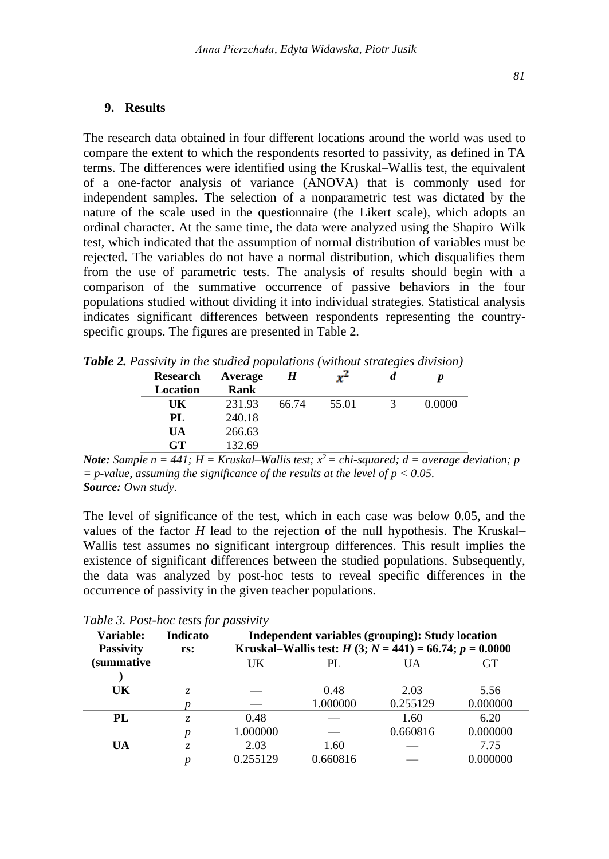# **9. Results**

The research data obtained in four different locations around the world was used to compare the extent to which the respondents resorted to passivity, as defined in TA terms. The differences were identified using the Kruskal–Wallis test, the equivalent of a one-factor analysis of variance (ANOVA) that is commonly used for independent samples. The selection of a nonparametric test was dictated by the nature of the scale used in the questionnaire (the Likert scale), which adopts an ordinal character. At the same time, the data were analyzed using the Shapiro–Wilk test, which indicated that the assumption of normal distribution of variables must be rejected. The variables do not have a normal distribution, which disqualifies them from the use of parametric tests. The analysis of results should begin with a comparison of the summative occurrence of passive behaviors in the four populations studied without dividing it into individual strategies. Statistical analysis indicates significant differences between respondents representing the countryspecific groups. The figures are presented in Table 2.

| <b>Research</b> | Average | H     | r     |        |
|-----------------|---------|-------|-------|--------|
| Location        | Rank    |       |       |        |
| UK              | 231.93  | 66.74 | 55.01 | 0.0000 |
| PL              | 240.18  |       |       |        |
| UA              | 266.63  |       |       |        |
| GT              | 132.69  |       |       |        |

*Table 2. Passivity in the studied populations (without strategies division)*

*Note: Sample n = 441; H = Kruskal–Wallis test; x <sup>2</sup>= chi-squared; d = average deviation; p = p-value, assuming the significance of the results at the level of p < 0.05. Source: Own study.* 

The level of significance of the test, which in each case was below 0.05, and the values of the factor *H* lead to the rejection of the null hypothesis. The Kruskal– Wallis test assumes no significant intergroup differences. This result implies the existence of significant differences between the studied populations. Subsequently, the data was analyzed by post-hoc tests to reveal specific differences in the occurrence of passivity in the given teacher populations.

| Variable:<br><b>Passivity</b> | <b>Indicato</b><br>rs: | Independent variables (grouping): Study location<br>Kruskal–Wallis test: $H(3; N = 441) = 66.74; p = 0.0000$ |                  |                  |                  |  |  |  |
|-------------------------------|------------------------|--------------------------------------------------------------------------------------------------------------|------------------|------------------|------------------|--|--|--|
| (summative                    |                        | UK                                                                                                           | PL               | UA               | <b>GT</b>        |  |  |  |
| UK                            |                        |                                                                                                              | 0.48<br>1.000000 | 2.03<br>0.255129 | 5.56<br>0.000000 |  |  |  |
| PL                            |                        | 0.48<br>1.000000                                                                                             |                  | 1.60<br>0.660816 | 6.20<br>0.000000 |  |  |  |
| UA                            | Z.                     | 2.03<br>0.255129                                                                                             | 1.60<br>0.660816 |                  | 7.75<br>0.000000 |  |  |  |

*Table 3. Post-hoc tests for passivity*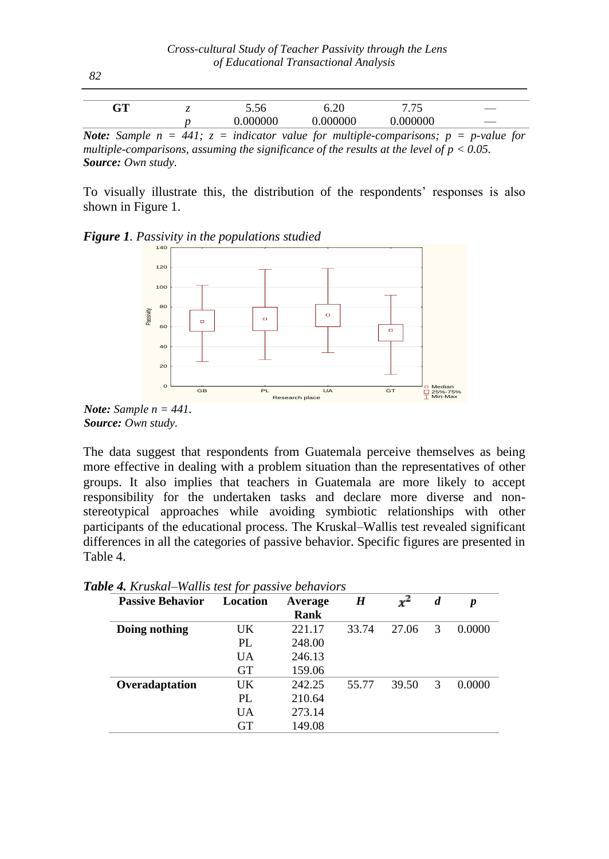|              | $\alpha$ m<br>UΙ | -              | 5.50            | $\bigcap$<br>∪.∠∪      | $- -$<br>ໍ່ | $\hspace{0.1mm}-\hspace{0.1mm}$ |
|--------------|------------------|----------------|-----------------|------------------------|-------------|---------------------------------|
|              |                  |                | .000000         |                        | 000000      |                                 |
| $\mathbf{v}$ | $\sim$           | $\overline{1}$ | $\cdot$ $\cdot$ | $\cdots$<br>$\sqrt{2}$ |             | $\sqrt{2}$                      |

*Note: Sample n = 441;*  $z =$  *indicator value for multiple-comparisons;*  $p = p$ -value for *multiple-comparisons, assuming the significance of the results at the level of*  $p < 0.05$ *. Source: Own study.* 

To visually illustrate this, the distribution of the respondents' responses is also shown in Figure 1.





*Note: Sample n = 441. Source: Own study.* 

The data suggest that respondents from Guatemala perceive themselves as being more effective in dealing with a problem situation than the representatives of other groups. It also implies that teachers in Guatemala are more likely to accept responsibility for the undertaken tasks and declare more diverse and nonstereotypical approaches while avoiding symbiotic relationships with other participants of the educational process. The Kruskal–Wallis test revealed significant differences in all the categories of passive behavior. Specific figures are presented in Table 4.

| <b>Passive Behavior</b> | Location  | Average<br>Rank | H     | $x^2$ | d | p      |
|-------------------------|-----------|-----------------|-------|-------|---|--------|
| Doing nothing           | UK        | 221.17          | 33.74 | 27.06 | 3 | 0.0000 |
|                         | PL        | 248.00          |       |       |   |        |
|                         | <b>UA</b> | 246.13          |       |       |   |        |
|                         | <b>GT</b> | 159.06          |       |       |   |        |
| Overadaptation          | UK        | 242.25          | 55.77 | 39.50 | 3 | 0.0000 |
|                         | PL        | 210.64          |       |       |   |        |
|                         | <b>UA</b> | 273.14          |       |       |   |        |
|                         | GT        | 149.08          |       |       |   |        |

*Table 4. Kruskal–Wallis test for passive behaviors*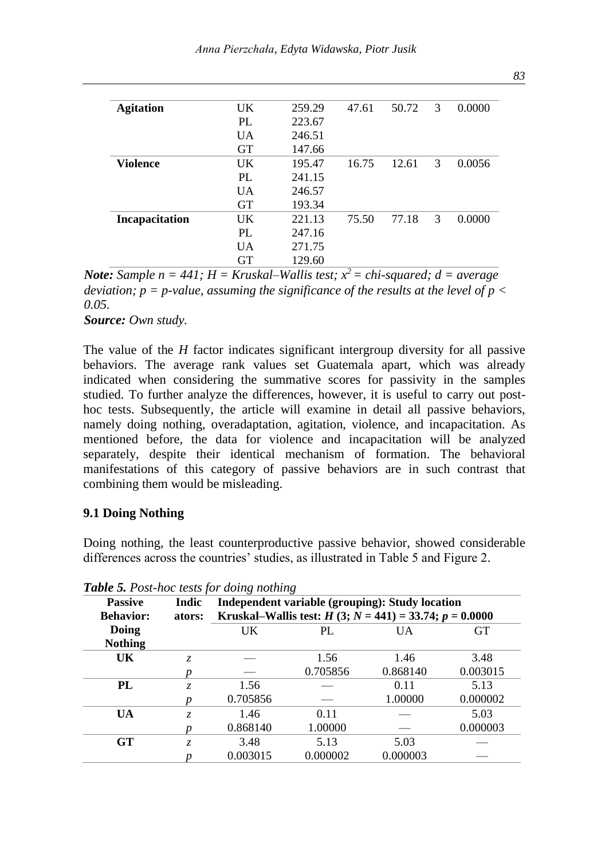| <b>Agitation</b> | $_{\rm{IJK}}$ | 259.29 | 47.61 | 50.72 | 3 | 0.0000 |
|------------------|---------------|--------|-------|-------|---|--------|
|                  | PL            | 223.67 |       |       |   |        |
|                  | <b>UA</b>     | 246.51 |       |       |   |        |
|                  | <b>GT</b>     | 147.66 |       |       |   |        |
| <b>Violence</b>  | UK            | 195.47 | 16.75 | 12.61 | 3 | 0.0056 |
|                  | PL            | 241.15 |       |       |   |        |
|                  | <b>UA</b>     | 246.57 |       |       |   |        |
|                  | <b>GT</b>     | 193.34 |       |       |   |        |
| Incapacitation   | UK            | 221.13 | 75.50 | 77.18 | 3 | 0.0000 |
|                  | PL            | 247.16 |       |       |   |        |
|                  | <b>UA</b>     | 271.75 |       |       |   |        |
|                  | <b>GT</b>     | 129.60 |       |       |   |        |

*Note: Sample n = 441; H = Kruskal–Wallis test; x <sup>2</sup>= chi-squared; d = average deviation; p = p-value, assuming the significance of the results at the level of p*  $\lt$ *0.05.*

*Source: Own study.* 

The value of the *H* factor indicates significant intergroup diversity for all passive behaviors. The average rank values set Guatemala apart, which was already indicated when considering the summative scores for passivity in the samples studied. To further analyze the differences, however, it is useful to carry out posthoc tests. Subsequently, the article will examine in detail all passive behaviors, namely doing nothing, overadaptation, agitation, violence, and incapacitation. As mentioned before, the data for violence and incapacitation will be analyzed separately, despite their identical mechanism of formation. The behavioral manifestations of this category of passive behaviors are in such contrast that combining them would be misleading.

#### **9.1 Doing Nothing**

Doing nothing, the least counterproductive passive behavior, showed considerable differences across the countries' studies, as illustrated in Table 5 and Figure 2.

| <b>Passive</b>   | Indic  |          | Independent variable (grouping): Study location          |          |          |  |  |  |  |
|------------------|--------|----------|----------------------------------------------------------|----------|----------|--|--|--|--|
| <b>Behavior:</b> | ators: |          | Kruskal–Wallis test: $H(3; N = 441) = 33.74; p = 0.0000$ |          |          |  |  |  |  |
| Doing            |        | UK       | GT<br>PL<br><b>UA</b>                                    |          |          |  |  |  |  |
| <b>Nothing</b>   |        |          |                                                          |          |          |  |  |  |  |
| <b>UK</b>        | Z.     |          | 1.56                                                     | 1.46     | 3.48     |  |  |  |  |
|                  |        |          | 0.705856                                                 | 0.868140 | 0.003015 |  |  |  |  |
| PL               | Z.     | 1.56     |                                                          | 0.11     | 5.13     |  |  |  |  |
|                  |        | 0.705856 |                                                          | 1.00000  | 0.000002 |  |  |  |  |
| <b>UA</b>        | Z.     | 1.46     | 0.11                                                     |          | 5.03     |  |  |  |  |
|                  |        | 0.868140 | 1.00000                                                  |          | 0.000003 |  |  |  |  |
| GT               | Z.     | 3.48     | 5.13                                                     | 5.03     |          |  |  |  |  |
|                  |        | 0.003015 | 0.000002                                                 | 0.000003 |          |  |  |  |  |

*Table 5. Post-hoc tests for doing nothing*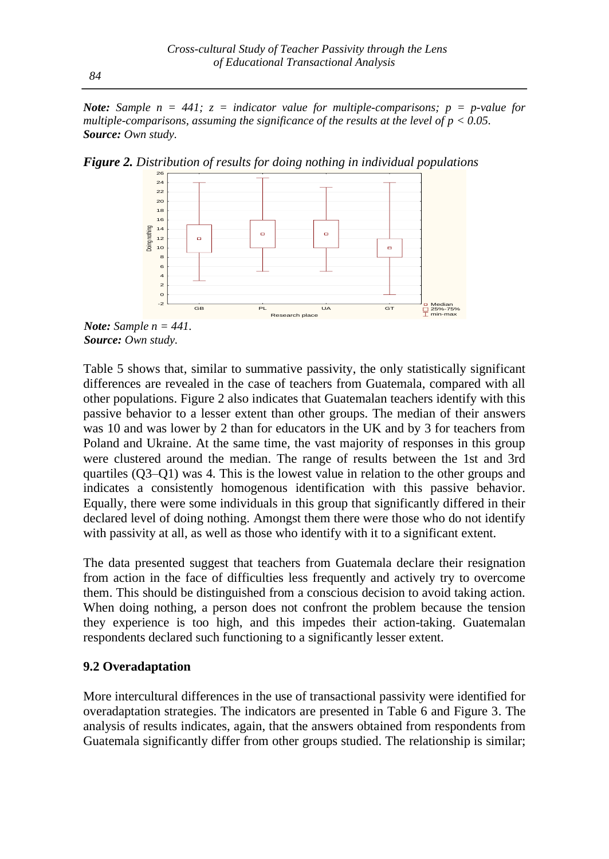*Note: Sample n = 441; z = indicator value for multiple-comparisons; p = p-value for multiple-comparisons, assuming the significance of the results at the level of*  $p < 0.05$ *. Source: Own study.*

*Figure 2. Distribution of results for doing nothing in individual populations*



*Note: Sample n = 441. Source: Own study.* 

Table 5 shows that, similar to summative passivity, the only statistically significant differences are revealed in the case of teachers from Guatemala, compared with all other populations. Figure 2 also indicates that Guatemalan teachers identify with this passive behavior to a lesser extent than other groups. The median of their answers was 10 and was lower by 2 than for educators in the UK and by 3 for teachers from Poland and Ukraine. At the same time, the vast majority of responses in this group were clustered around the median. The range of results between the 1st and 3rd quartiles (Q3–Q1) was 4. This is the lowest value in relation to the other groups and indicates a consistently homogenous identification with this passive behavior. Equally, there were some individuals in this group that significantly differed in their declared level of doing nothing. Amongst them there were those who do not identify with passivity at all, as well as those who identify with it to a significant extent.

The data presented suggest that teachers from Guatemala declare their resignation from action in the face of difficulties less frequently and actively try to overcome them. This should be distinguished from a conscious decision to avoid taking action. When doing nothing, a person does not confront the problem because the tension they experience is too high, and this impedes their action-taking. Guatemalan respondents declared such functioning to a significantly lesser extent.

#### **9.2 Overadaptation**

More intercultural differences in the use of transactional passivity were identified for overadaptation strategies. The indicators are presented in Table 6 and Figure 3. The analysis of results indicates, again, that the answers obtained from respondents from Guatemala significantly differ from other groups studied. The relationship is similar;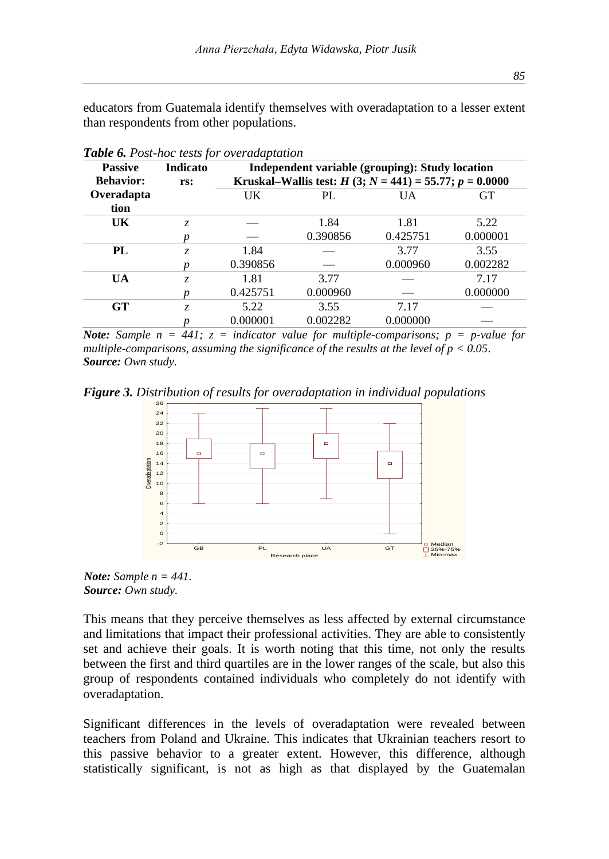educators from Guatemala identify themselves with overadaptation to a lesser extent than respondents from other populations.

| <b>Table 0.</b> I Ost-not lests for overadaptation |          |          |                                                 |                                                          |           |  |  |  |  |
|----------------------------------------------------|----------|----------|-------------------------------------------------|----------------------------------------------------------|-----------|--|--|--|--|
| <b>Passive</b>                                     | Indicato |          | Independent variable (grouping): Study location |                                                          |           |  |  |  |  |
| <b>Behavior:</b>                                   | rs:      |          |                                                 | Kruskal–Wallis test: $H(3; N = 441) = 55.77; p = 0.0000$ |           |  |  |  |  |
| Overadapta                                         |          | UK       | PL                                              | UA                                                       | <b>GT</b> |  |  |  |  |
| tion                                               |          |          |                                                 |                                                          |           |  |  |  |  |
| UK                                                 | Z.       |          | 1.84                                            | 1.81                                                     | 5.22      |  |  |  |  |
|                                                    |          |          | 0.390856                                        | 0.425751                                                 | 0.000001  |  |  |  |  |
| PL                                                 | Z.       | 1.84     |                                                 | 3.77                                                     | 3.55      |  |  |  |  |
|                                                    |          | 0.390856 |                                                 | 0.000960                                                 | 0.002282  |  |  |  |  |
| <b>UA</b>                                          | Z.       | 1.81     | 3.77                                            |                                                          | 7.17      |  |  |  |  |
|                                                    |          | 0.425751 | 0.000960                                        |                                                          | 0.000000  |  |  |  |  |
| <b>GT</b>                                          | Z.       | 5.22     | 3.55                                            | 7.17                                                     |           |  |  |  |  |
|                                                    |          | 0.000001 | 0.002282                                        | 0.000000                                                 |           |  |  |  |  |

*Table 6. Post-hoc tests for overadaptation*

*Note: Sample n = 441;*  $z =$  *indicator value for multiple-comparisons;*  $p = p$ -value for *multiple-comparisons, assuming the significance of the results at the level of p < 0.05. Source: Own study.*

*Figure 3. Distribution of results for overadaptation in individual populations*



*Note: Sample n = 441. Source: Own study.* 

This means that they perceive themselves as less affected by external circumstance and limitations that impact their professional activities. They are able to consistently set and achieve their goals. It is worth noting that this time, not only the results between the first and third quartiles are in the lower ranges of the scale, but also this group of respondents contained individuals who completely do not identify with overadaptation.

Significant differences in the levels of overadaptation were revealed between teachers from Poland and Ukraine. This indicates that Ukrainian teachers resort to this passive behavior to a greater extent. However, this difference, although statistically significant, is not as high as that displayed by the Guatemalan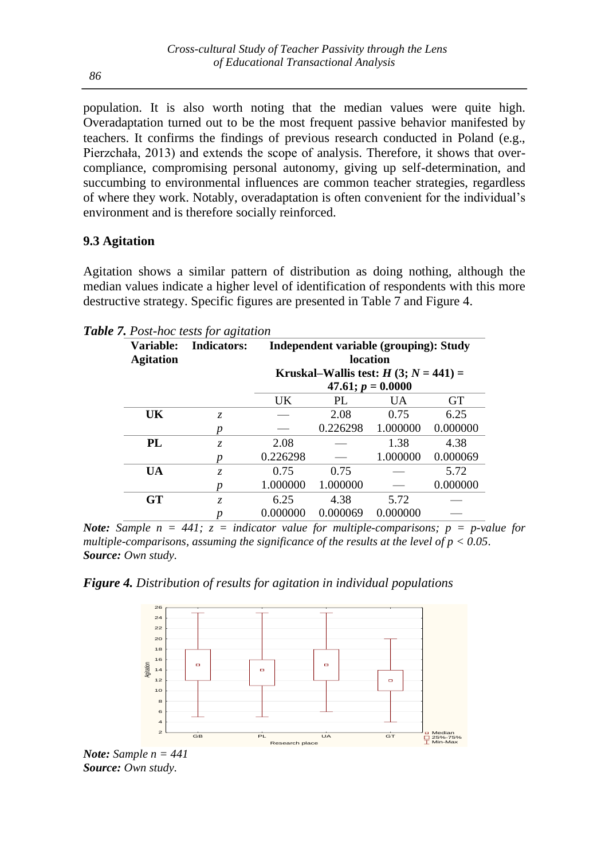population. It is also worth noting that the median values were quite high. Overadaptation turned out to be the most frequent passive behavior manifested by teachers. It confirms the findings of previous research conducted in Poland (e.g., Pierzchała, 2013) and extends the scope of analysis. Therefore, it shows that overcompliance, compromising personal autonomy, giving up self-determination, and succumbing to environmental influences are common teacher strategies, regardless of where they work. Notably, overadaptation is often convenient for the individual's environment and is therefore socially reinforced.

# **9.3 Agitation**

Agitation shows a similar pattern of distribution as doing nothing, although the median values indicate a higher level of identification of respondents with this more destructive strategy. Specific figures are presented in Table 7 and Figure 4.

| Variable:<br><b>Agitation</b> | <b>Indicators:</b> | Independent variable (grouping): Study<br>location            |          |          |           |  |  |
|-------------------------------|--------------------|---------------------------------------------------------------|----------|----------|-----------|--|--|
|                               |                    | Kruskal–Wallis test: $H(3; N = 441) =$<br>$47.61; p = 0.0000$ |          |          |           |  |  |
|                               |                    | UK                                                            | PL       | UA.      | <b>GT</b> |  |  |
| UK                            | Z.                 |                                                               | 2.08     | 0.75     | 6.25      |  |  |
|                               | п                  |                                                               | 0.226298 | 1.000000 | 0.000000  |  |  |
| PL                            | Z.                 | 2.08                                                          |          | 1.38     | 4.38      |  |  |
|                               |                    | 0.226298                                                      |          | 1.000000 | 0.000069  |  |  |
| <b>UA</b>                     | Z.                 | 0.75                                                          | 0.75     |          | 5.72      |  |  |
|                               |                    | 1.000000                                                      | 1.000000 |          | 0.000000  |  |  |
| $G$ T                         | Z.                 | 6.25                                                          | 4.38     | 5.72     |           |  |  |
|                               | p                  | 0.000000                                                      | 0.000069 | 0.000000 |           |  |  |

*Table 7. Post-hoc tests for agitation*

*Note: Sample*  $n = 441$ ;  $z =$  *indicator value for multiple-comparisons;*  $p = p$ -value for *multiple-comparisons, assuming the significance of the results at the level of p < 0.05. Source: Own study.* 

*Figure 4. Distribution of results for agitation in individual populations*



*Note: Sample n = 441 Source: Own study.*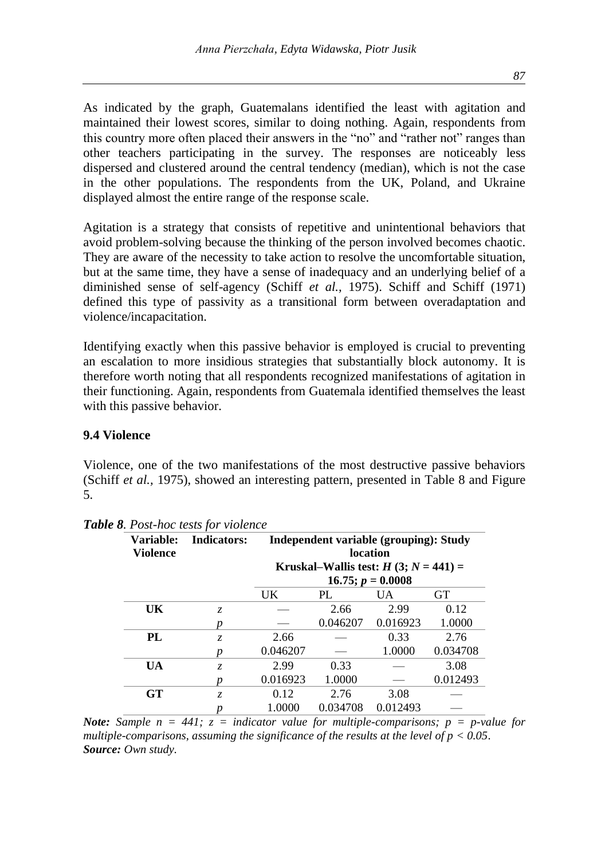As indicated by the graph, Guatemalans identified the least with agitation and maintained their lowest scores, similar to doing nothing. Again, respondents from this country more often placed their answers in the "no" and "rather not" ranges than other teachers participating in the survey. The responses are noticeably less dispersed and clustered around the central tendency (median), which is not the case in the other populations. The respondents from the UK, Poland, and Ukraine displayed almost the entire range of the response scale.

Agitation is a strategy that consists of repetitive and unintentional behaviors that avoid problem-solving because the thinking of the person involved becomes chaotic. They are aware of the necessity to take action to resolve the uncomfortable situation, but at the same time, they have a sense of inadequacy and an underlying belief of a diminished sense of self-agency (Schiff *et al.,* 1975). Schiff and Schiff (1971) defined this type of passivity as a transitional form between overadaptation and violence/incapacitation.

Identifying exactly when this passive behavior is employed is crucial to preventing an escalation to more insidious strategies that substantially block autonomy. It is therefore worth noting that all respondents recognized manifestations of agitation in their functioning. Again, respondents from Guatemala identified themselves the least with this passive behavior.

### **9.4 Violence**

Violence, one of the two manifestations of the most destructive passive behaviors (Schiff *et al.,* 1975), showed an interesting pattern, presented in Table 8 and Figure 5.

| Variable:<br><b>Violence</b> | <b>Indicators:</b> | Independent variable (grouping): Study<br><b>location</b> |                                        |                        |           |  |  |
|------------------------------|--------------------|-----------------------------------------------------------|----------------------------------------|------------------------|-----------|--|--|
|                              |                    |                                                           | Kruskal–Wallis test: $H(3; N = 441) =$ | $16.75$ ; $p = 0.0008$ |           |  |  |
|                              |                    | UK                                                        | PL                                     | <b>UA</b>              | <b>GT</b> |  |  |
| UK                           | Z.                 |                                                           | 2.66                                   | 2.99                   | 0.12      |  |  |
|                              |                    |                                                           | 0.046207                               | 0.016923               | 1.0000    |  |  |
| PL                           | Z.                 | 2.66                                                      |                                        | 0.33                   | 2.76      |  |  |
|                              |                    | 0.046207                                                  |                                        | 1.0000                 | 0.034708  |  |  |
| <b>UA</b>                    | Z.                 | 2.99                                                      | 0.33                                   |                        | 3.08      |  |  |
|                              |                    | 0.016923                                                  | 1.0000                                 |                        | 0.012493  |  |  |
| $G$ T                        | Z.                 | 0.12                                                      | 2.76                                   | 3.08                   |           |  |  |
|                              |                    | 1.0000                                                    | 0.034708                               | 0.012493               |           |  |  |

*Table 8. Post-hoc tests for violence*

*Note: Sample n = 441; z = indicator value for multiple-comparisons; p = p-value for multiple-comparisons, assuming the significance of the results at the level of p < 0.05. Source: Own study.*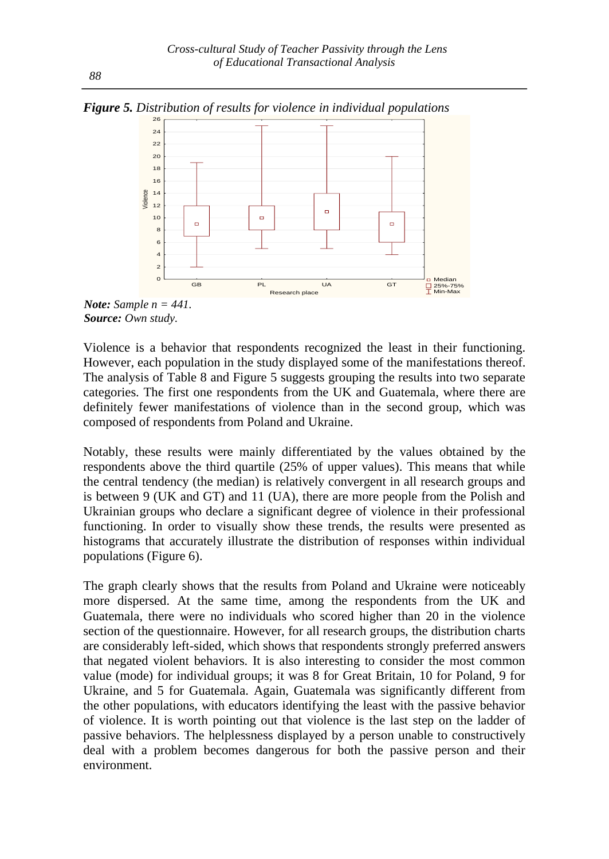*Figure 5. Distribution of results for violence in individual populations*



*Note: Sample n = 441. Source: Own study.*

Violence is a behavior that respondents recognized the least in their functioning. However, each population in the study displayed some of the manifestations thereof. The analysis of Table 8 and Figure 5 suggests grouping the results into two separate categories. The first one respondents from the UK and Guatemala, where there are definitely fewer manifestations of violence than in the second group, which was composed of respondents from Poland and Ukraine.

Notably, these results were mainly differentiated by the values obtained by the respondents above the third quartile (25% of upper values). This means that while the central tendency (the median) is relatively convergent in all research groups and is between 9 (UK and GT) and 11 (UA), there are more people from the Polish and Ukrainian groups who declare a significant degree of violence in their professional functioning. In order to visually show these trends, the results were presented as histograms that accurately illustrate the distribution of responses within individual populations (Figure 6).

The graph clearly shows that the results from Poland and Ukraine were noticeably more dispersed. At the same time, among the respondents from the UK and Guatemala, there were no individuals who scored higher than 20 in the violence section of the questionnaire. However, for all research groups, the distribution charts are considerably left-sided, which shows that respondents strongly preferred answers that negated violent behaviors. It is also interesting to consider the most common value (mode) for individual groups; it was 8 for Great Britain, 10 for Poland, 9 for Ukraine, and 5 for Guatemala. Again, Guatemala was significantly different from the other populations, with educators identifying the least with the passive behavior of violence. It is worth pointing out that violence is the last step on the ladder of passive behaviors. The helplessness displayed by a person unable to constructively deal with a problem becomes dangerous for both the passive person and their environment.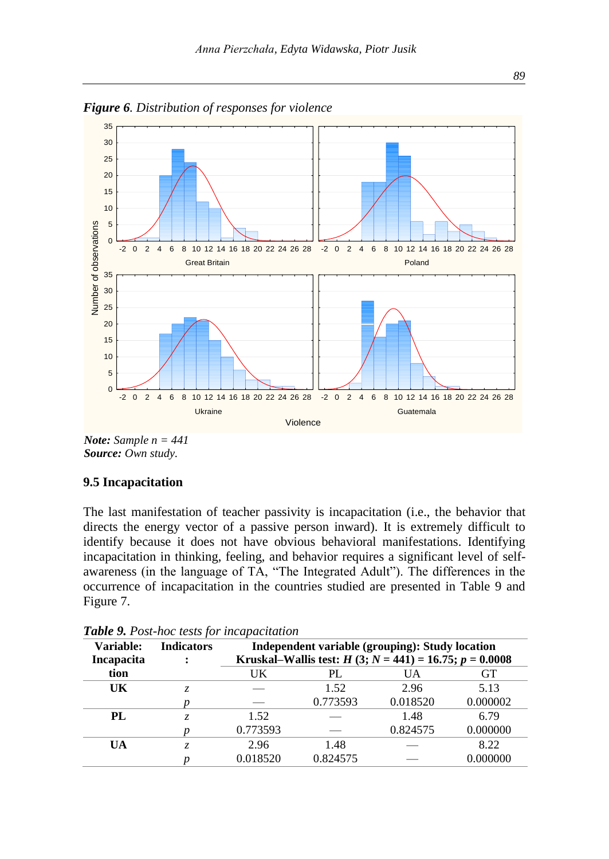

*Figure 6. Distribution of responses for violence*

*Note: Sample n = 441 Source: Own study.* 

#### **9.5 Incapacitation**

The last manifestation of teacher passivity is incapacitation (i.e., the behavior that directs the energy vector of a passive person inward). It is extremely difficult to identify because it does not have obvious behavioral manifestations. Identifying incapacitation in thinking, feeling, and behavior requires a significant level of selfawareness (in the language of TA, "The Integrated Adult"). The differences in the occurrence of incapacitation in the countries studied are presented in Table 9 and Figure 7.

| Variable:<br>Incapacita | <b>Indicators</b> | Independent variable (grouping): Study location<br>Kruskal–Wallis test: $H(3; N = 441) = 16.75; p = 0.0008$ |          |          |          |  |  |
|-------------------------|-------------------|-------------------------------------------------------------------------------------------------------------|----------|----------|----------|--|--|
| tion                    |                   | UK                                                                                                          | PL       | UA       | GТ       |  |  |
| UK                      |                   |                                                                                                             | 1.52     | 2.96     | 5.13     |  |  |
|                         |                   |                                                                                                             | 0.773593 | 0.018520 | 0.000002 |  |  |
| PL.                     | Z.                | 1.52                                                                                                        |          | 1.48     | 6.79     |  |  |
|                         |                   | 0.773593                                                                                                    |          | 0.824575 | 0.000000 |  |  |
| UA                      | Z.                | 2.96                                                                                                        | 1.48     |          | 8.22     |  |  |
|                         |                   | 0.018520                                                                                                    | 0.824575 |          | 0.000000 |  |  |

*Table 9. Post-hoc tests for incapacitation*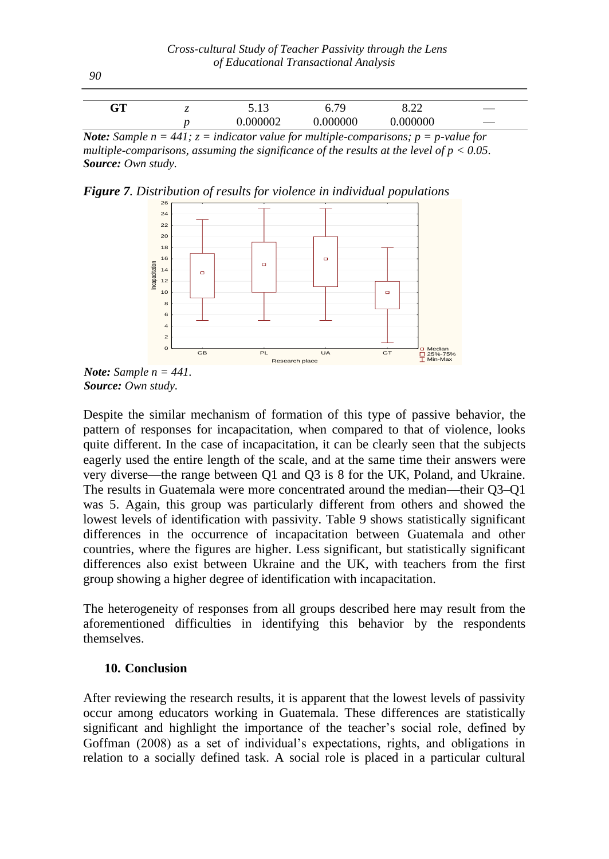| $\alpha$ Tr<br>uι | <br>1 <sub>2</sub><br><u>.</u> | 70<br><b>U.</b> 12 | റ ററ<br>0.44 |  |
|-------------------|--------------------------------|--------------------|--------------|--|
|                   | 000002                         | 0.000000           | 000000       |  |

*Note: Sample n* = 441;  $z =$  *indicator value for multiple-comparisons; p* = *p*-value for *multiple-comparisons, assuming the significance of the results at the level of p < 0.05. Source: Own study.*

*Figure 7. Distribution of results for violence in individual populations*





Despite the similar mechanism of formation of this type of passive behavior, the pattern of responses for incapacitation, when compared to that of violence, looks quite different. In the case of incapacitation, it can be clearly seen that the subjects eagerly used the entire length of the scale, and at the same time their answers were very diverse—the range between Q1 and Q3 is 8 for the UK, Poland, and Ukraine. The results in Guatemala were more concentrated around the median—their Q3–Q1 was 5. Again, this group was particularly different from others and showed the lowest levels of identification with passivity. Table 9 shows statistically significant differences in the occurrence of incapacitation between Guatemala and other countries, where the figures are higher. Less significant, but statistically significant differences also exist between Ukraine and the UK, with teachers from the first group showing a higher degree of identification with incapacitation.

The heterogeneity of responses from all groups described here may result from the aforementioned difficulties in identifying this behavior by the respondents themselves.

#### **10. Conclusion**

After reviewing the research results, it is apparent that the lowest levels of passivity occur among educators working in Guatemala. These differences are statistically significant and highlight the importance of the teacher's social role, defined by Goffman (2008) as a set of individual's expectations, rights, and obligations in relation to a socially defined task. A social role is placed in a particular cultural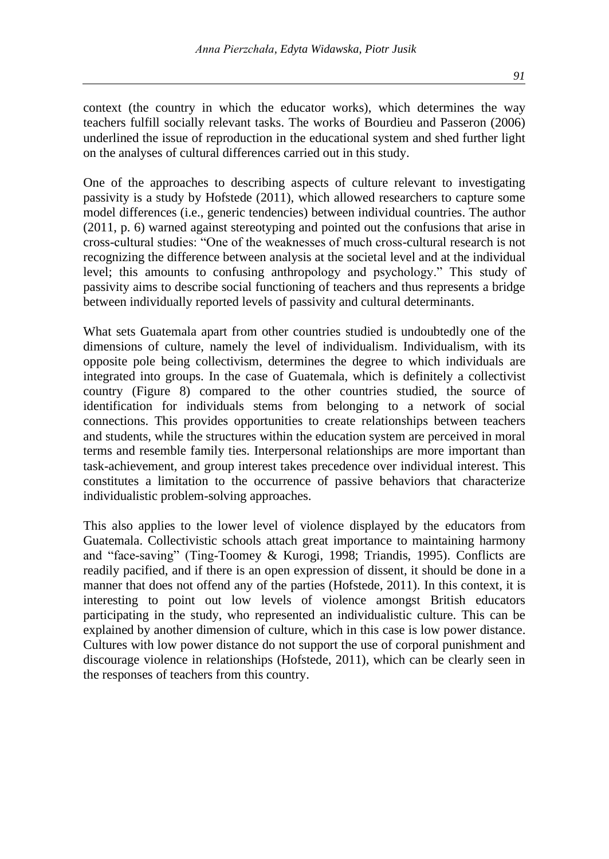context (the country in which the educator works), which determines the way teachers fulfill socially relevant tasks. The works of Bourdieu and Passeron (2006) underlined the issue of reproduction in the educational system and shed further light on the analyses of cultural differences carried out in this study.

One of the approaches to describing aspects of culture relevant to investigating passivity is a study by Hofstede (2011), which allowed researchers to capture some model differences (i.e., generic tendencies) between individual countries. The author (2011, p. 6) warned against stereotyping and pointed out the confusions that arise in cross-cultural studies: "One of the weaknesses of much cross-cultural research is not recognizing the difference between analysis at the societal level and at the individual level; this amounts to confusing anthropology and psychology." This study of passivity aims to describe social functioning of teachers and thus represents a bridge between individually reported levels of passivity and cultural determinants.

What sets Guatemala apart from other countries studied is undoubtedly one of the dimensions of culture, namely the level of individualism. Individualism, with its opposite pole being collectivism, determines the degree to which individuals are integrated into groups. In the case of Guatemala, which is definitely a collectivist country (Figure 8) compared to the other countries studied, the source of identification for individuals stems from belonging to a network of social connections. This provides opportunities to create relationships between teachers and students, while the structures within the education system are perceived in moral terms and resemble family ties. Interpersonal relationships are more important than task-achievement, and group interest takes precedence over individual interest. This constitutes a limitation to the occurrence of passive behaviors that characterize individualistic problem-solving approaches.

This also applies to the lower level of violence displayed by the educators from Guatemala. Collectivistic schools attach great importance to maintaining harmony and "face-saving" (Ting-Toomey & Kurogi, 1998; Triandis, 1995). Conflicts are readily pacified, and if there is an open expression of dissent, it should be done in a manner that does not offend any of the parties (Hofstede, 2011). In this context, it is interesting to point out low levels of violence amongst British educators participating in the study, who represented an individualistic culture. This can be explained by another dimension of culture, which in this case is low power distance. Cultures with low power distance do not support the use of corporal punishment and discourage violence in relationships (Hofstede, 2011), which can be clearly seen in the responses of teachers from this country.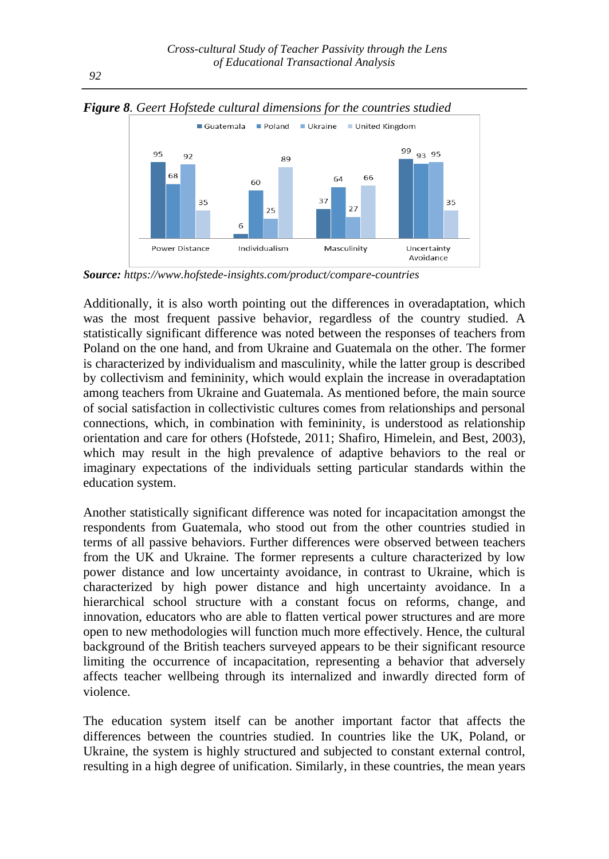

*Figure 8. Geert Hofstede cultural dimensions for the countries studied*

*Source: [https://www.hofstede-insights.com/product/compare-countries](https://www.hofstede-insights.com/product/compare-countries/)*

Additionally, it is also worth pointing out the differences in overadaptation, which was the most frequent passive behavior, regardless of the country studied. A statistically significant difference was noted between the responses of teachers from Poland on the one hand, and from Ukraine and Guatemala on the other. The former is characterized by individualism and masculinity, while the latter group is described by collectivism and femininity, which would explain the increase in overadaptation among teachers from Ukraine and Guatemala. As mentioned before, the main source of social satisfaction in collectivistic cultures comes from relationships and personal connections, which, in combination with femininity, is understood as relationship orientation and care for others (Hofstede, 2011; Shafiro, Himelein, and Best, 2003), which may result in the high prevalence of adaptive behaviors to the real or imaginary expectations of the individuals setting particular standards within the education system.

Another statistically significant difference was noted for incapacitation amongst the respondents from Guatemala, who stood out from the other countries studied in terms of all passive behaviors. Further differences were observed between teachers from the UK and Ukraine. The former represents a culture characterized by low power distance and low uncertainty avoidance, in contrast to Ukraine, which is characterized by high power distance and high uncertainty avoidance. In a hierarchical school structure with a constant focus on reforms, change, and innovation, educators who are able to flatten vertical power structures and are more open to new methodologies will function much more effectively. Hence, the cultural background of the British teachers surveyed appears to be their significant resource limiting the occurrence of incapacitation, representing a behavior that adversely affects teacher wellbeing through its internalized and inwardly directed form of violence.

The education system itself can be another important factor that affects the differences between the countries studied. In countries like the UK, Poland, or Ukraine, the system is highly structured and subjected to constant external control, resulting in a high degree of unification. Similarly, in these countries, the mean years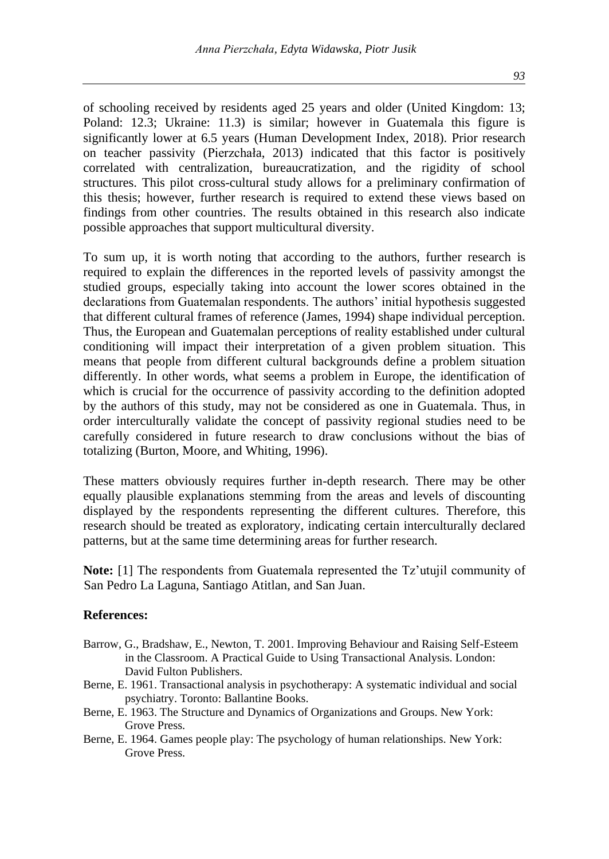*93*

of schooling received by residents aged 25 years and older (United Kingdom: 13; Poland: 12.3; Ukraine: 11.3) is similar; however in Guatemala this figure is significantly lower at 6.5 years (Human Development Index, 2018). Prior research on teacher passivity (Pierzchała, 2013) indicated that this factor is positively correlated with centralization, bureaucratization, and the rigidity of school structures. This pilot cross-cultural study allows for a preliminary confirmation of this thesis; however, further research is required to extend these views based on findings from other countries. The results obtained in this research also indicate possible approaches that support multicultural diversity.

To sum up, it is worth noting that according to the authors, further research is required to explain the differences in the reported levels of passivity amongst the studied groups, especially taking into account the lower scores obtained in the declarations from Guatemalan respondents. The authors' initial hypothesis suggested that different cultural frames of reference (James, 1994) shape individual perception. Thus, the European and Guatemalan perceptions of reality established under cultural conditioning will impact their interpretation of a given problem situation. This means that people from different cultural backgrounds define a problem situation differently. In other words, what seems a problem in Europe, the identification of which is crucial for the occurrence of passivity according to the definition adopted by the authors of this study, may not be considered as one in Guatemala. Thus, in order interculturally validate the concept of passivity regional studies need to be carefully considered in future research to draw conclusions without the bias of totalizing (Burton, Moore, and Whiting, 1996).

These matters obviously requires further in-depth research. There may be other equally plausible explanations stemming from the areas and levels of discounting displayed by the respondents representing the different cultures. Therefore, this research should be treated as exploratory, indicating certain interculturally declared patterns, but at the same time determining areas for further research.

**Note:** [1] The respondents from Guatemala represented the Tz'utujil community of San Pedro La Laguna, Santiago Atitlan, and San Juan.

#### **References:**

- Barrow, G., Bradshaw, E., Newton, T. 2001. Improving Behaviour and Raising Self-Esteem in the Classroom. A Practical Guide to Using Transactional Analysis. London: David Fulton Publishers.
- Berne, E. 1961. Transactional analysis in psychotherapy: A systematic individual and social psychiatry. Toronto: Ballantine Books.
- Berne, E. 1963. The Structure and Dynamics of Organizations and Groups. New York: Grove Press.
- Berne, E. 1964. Games people play: The psychology of human relationships. New York: Grove Press.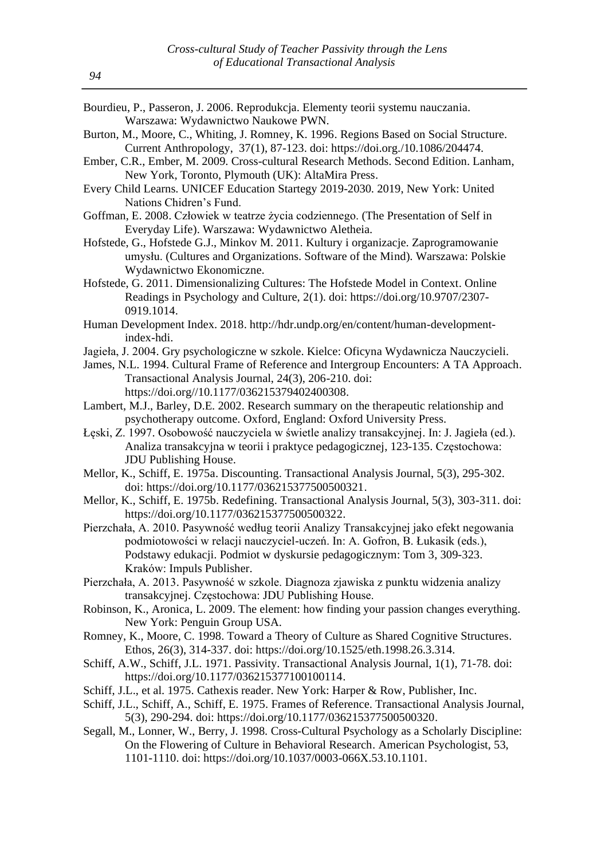| Bourdieu, P., Passeron, J. 2006. Reprodukcja. Elementy teorii systemu nauczania.<br>Warszawa: Wydawnictwo Naukowe PWN.                  |
|-----------------------------------------------------------------------------------------------------------------------------------------|
| Burton, M., Moore, C., Whiting, J. Romney, K. 1996. Regions Based on Social Structure.                                                  |
| Current Anthropology, 37(1), 87-123. doi: https://doi.org./10.1086/204474.                                                              |
| Ember, C.R., Ember, M. 2009. Cross-cultural Research Methods. Second Edition. Lanham,                                                   |
|                                                                                                                                         |
| New York, Toronto, Plymouth (UK): AltaMira Press.                                                                                       |
| Every Child Learns. UNICEF Education Startegy 2019-2030. 2019, New York: United                                                         |
| Nations Chidren's Fund.                                                                                                                 |
| Goffman, E. 2008. Człowiek w teatrze życia codziennego. (The Presentation of Self in<br>Everyday Life). Warszawa: Wydawnictwo Aletheia. |
| Hofstede, G., Hofstede G.J., Minkov M. 2011. Kultury i organizacje. Zaprogramowanie                                                     |
| umysłu. (Cultures and Organizations. Software of the Mind). Warszawa: Polskie                                                           |
| Wydawnictwo Ekonomiczne.                                                                                                                |
| Hofstede, G. 2011. Dimensionalizing Cultures: The Hofstede Model in Context. Online                                                     |
| Readings in Psychology and Culture, 2(1). doi: https://doi.org/10.9707/2307-                                                            |
| 0919.1014.                                                                                                                              |
| Human Development Index. 2018. http://hdr.undp.org/en/content/human-development-                                                        |
| index-hdi.                                                                                                                              |
| Jagieła, J. 2004. Gry psychologiczne w szkole. Kielce: Oficyna Wydawnicza Nauczycieli.                                                  |
| James, N.L. 1994. Cultural Frame of Reference and Intergroup Encounters: A TA Approach.                                                 |
| Transactional Analysis Journal, 24(3), 206-210. doi:                                                                                    |
| https://doi.org//10.1177/036215379402400308.                                                                                            |
| Lambert, M.J., Barley, D.E. 2002. Research summary on the therapeutic relationship and                                                  |
| psychotherapy outcome. Oxford, England: Oxford University Press.                                                                        |
| Łęski, Z. 1997. Osobowość nauczyciela w świetle analizy transakcyjnej. In: J. Jagieła (ed.).                                            |
| Analiza transakcyjna w teorii i praktyce pedagogicznej, 123-135. Częstochowa:                                                           |
| JDU Publishing House.                                                                                                                   |
| Mellor, K., Schiff, E. 1975a. Discounting. Transactional Analysis Journal, 5(3), 295-302.                                               |
| doi: https://doi.org/10.1177/036215377500500321.                                                                                        |
| Mellor, K., Schiff, E. 1975b. Redefining. Transactional Analysis Journal, 5(3), 303-311. doi:                                           |
| https://doi.org/10.1177/036215377500500322.                                                                                             |
| Pierzchała, A. 2010. Pasywność według teorii Analizy Transakcyjnej jako efekt negowania                                                 |
| podmiotowości w relacji nauczyciel-uczeń. In: A. Gofron, B. Łukasik (eds.),                                                             |
| Podstawy edukacji. Podmiot w dyskursie pedagogicznym: Tom 3, 309-323.                                                                   |
| Kraków: Impuls Publisher.                                                                                                               |
| Pierzchała, A. 2013. Pasywność w szkole. Diagnoza zjawiska z punktu widzenia analizy                                                    |
| transakcyjnej. Częstochowa: JDU Publishing House.                                                                                       |
| Robinson, K., Aronica, L. 2009. The element: how finding your passion changes everything.                                               |
| New York: Penguin Group USA.                                                                                                            |

- Romney, K., Moore, C. 1998. Toward a Theory of Culture as Shared Cognitive Structures. Ethos, 26(3), 314-337. doi: https://doi.org/10.1525/eth.1998.26.3.314.
- Schiff, A.W., Schiff, J.L. 1971. Passivity. Transactional Analysis Journal, 1(1), 71-78. doi: [https://doi.org/10.1177/036215377100100114.](https://doi.org/10.1177/036215377100100114)
- Schiff, J.L., et al. 1975. Cathexis reader. New York: Harper & Row, Publisher, Inc.
- Schiff, J.L., Schiff, A., Schiff, E. 1975. Frames of Reference. Transactional Analysis Journal, 5(3), 290-294. doi: [https://doi.org/10.1177/036215377500500320.](https://doi.org/10.1177%2F036215377500500320)
- Segall, M., Lonner, W., Berry, J. 1998. Cross-Cultural Psychology as a Scholarly Discipline: On the Flowering of Culture in Behavioral Research. American Psychologist, 53, 1101-1110. doi: https://doi.org/10.1037/0003-066X.53.10.1101.